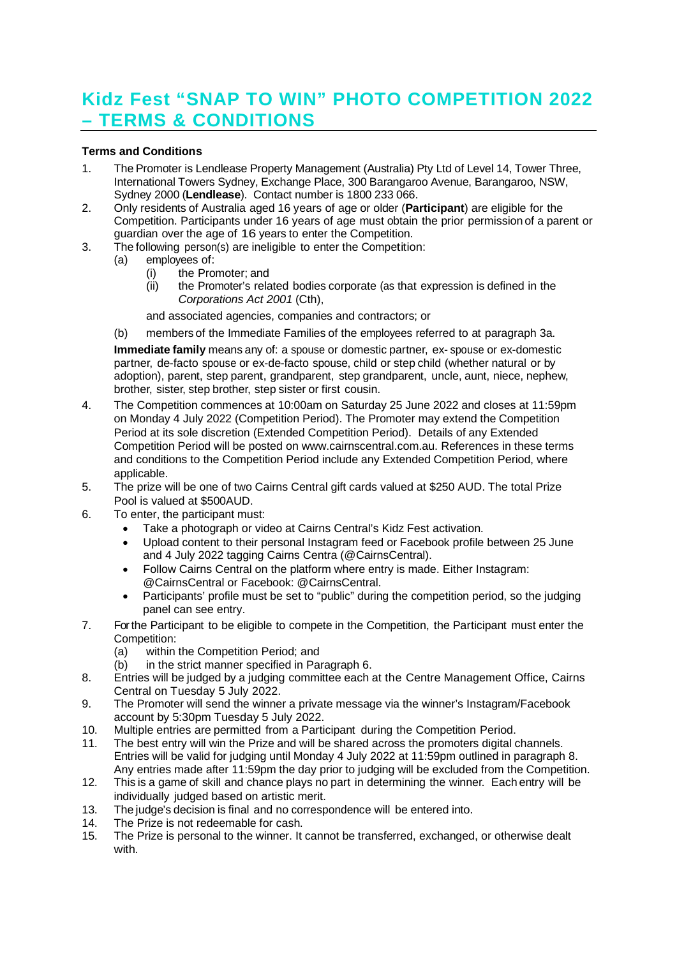## **Kidz Fest "SNAP TO WIN" PHOTO COMPETITION 2022 – TERMS & CONDITIONS**

## **Terms and Conditions**

- 1. The Promoter is Lendlease Property Management (Australia) Pty Ltd of Level 14, Tower Three, International Towers Sydney, Exchange Place, 300 Barangaroo Avenue, Barangaroo, NSW, Sydney 2000 (**Lendlease**). Contact number is 1800 233 066.
- 2. Only residents of Australia aged 16 years of age or older (**Participant**) are eligible for the Competition. Participants under 16 years of age must obtain the prior permission of a parent or guardian over the age of 16 years to enter the Competition.
- 3. The following person(s) are ineligible to enter the Competition:
	- (a) employees of:
		- (i) the Promoter; and
		- (ii) the Promoter's related bodies corporate (as that expression is defined in the *Corporations Act 2001* (Cth),
		- and associated agencies, companies and contractors; or
	- (b) members of the Immediate Families of the employees referred to at paragraph 3a.

**Immediate family** means any of: a spouse or domestic partner, ex- spouse or ex-domestic partner, de-facto spouse or ex-de-facto spouse, child or step child (whether natural or by adoption), parent, step parent, grandparent, step grandparent, uncle, aunt, niece, nephew, brother, sister, step brother, step sister or first cousin.

- 4. The Competition commences at 10:00am on Saturday 25 June 2022 and closes at 11:59pm on Monday 4 July 2022 (Competition Period). The Promoter may extend the Competition Period at its sole discretion (Extended Competition Period). Details of any Extended Competition Period will be posted on www.cairnscentral.com.au. References in these terms and conditions to the Competition Period include any Extended Competition Period, where applicable.
- 5. The prize will be one of two Cairns Central gift cards valued at \$250 AUD. The total Prize Pool is valued at \$500AUD.
- 6. To enter, the participant must:
	- · Take a photograph or video at Cairns Central's Kidz Fest activation.
	- · Upload content to their personal Instagram feed or Facebook profile between 25 June and 4 July 2022 tagging Cairns Centra (@CairnsCentral).
	- Follow Cairns Central on the platform where entry is made. Either Instagram: @CairnsCentral or Facebook: @CairnsCentral.
	- Participants' profile must be set to "public" during the competition period, so the judging panel can see entry.
- 7. For the Participant to be eligible to compete in the Competition, the Participant must enter the Competition:
	- (a) within the Competition Period; and
	- (b) in the strict manner specified in Paragraph 6.
- 8. Entries will be judged by a judging committee each at the Centre Management Office, Cairns Central on Tuesday 5 July 2022.
- 9. The Promoter will send the winner a private message via the winner's Instagram/Facebook account by 5:30pm Tuesday 5 July 2022.
- 10. Multiple entries are permitted from a Participant during the Competition Period.
- 11. The best entry will win the Prize and will be shared across the promoters digital channels. Entries will be valid for judging until Monday 4 July 2022 at 11:59pm outlined in paragraph 8. Any entries made after 11:59pm the day prior to judging will be excluded from the Competition.
- 12. This is a game of skill and chance plays no part in determining the winner. Each entry will be individually judged based on artistic merit.
- 13. The judge's decision is final and no correspondence will be entered into.
- 14. The Prize is not redeemable for cash.
- 15. The Prize is personal to the winner. It cannot be transferred, exchanged, or otherwise dealt with.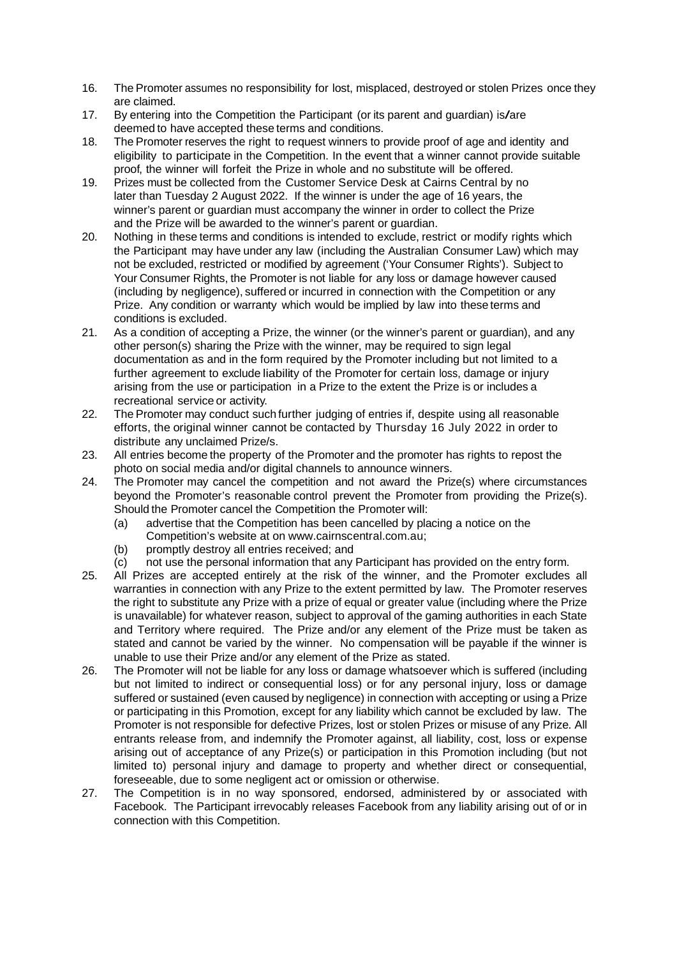- 16. The Promoter assumes no responsibility for lost, misplaced, destroyed or stolen Prizes once they are claimed.
- 17. By entering into the Competition the Participant (or its parent and guardian) is/are deemed to have accepted these terms and conditions.
- 18. The Promoter reserves the right to request winners to provide proof of age and identity and eligibility to participate in the Competition. In the event that a winner cannot provide suitable proof, the winner will forfeit the Prize in whole and no substitute will be offered.
- 19. Prizes must be collected from the Customer Service Desk at Cairns Central by no later than Tuesday 2 August 2022. If the winner is under the age of 16 years, the winner's parent or guardian must accompany the winner in order to collect the Prize and the Prize will be awarded to the winner's parent or guardian.
- 20. Nothing in these terms and conditions is intended to exclude, restrict or modify rights which the Participant may have under any law (including the Australian Consumer Law) which may not be excluded, restricted or modified by agreement ('Your Consumer Rights'). Subject to Your Consumer Rights, the Promoter is not liable for any loss or damage however caused (including by negligence), suffered or incurred in connection with the Competition or any Prize. Any condition or warranty which would be implied by law into these terms and conditions is excluded.
- 21. As a condition of accepting a Prize, the winner (or the winner's parent or guardian), and any other person(s) sharing the Prize with the winner, may be required to sign legal documentation as and in the form required by the Promoter including but not limited to a further agreement to exclude liability of the Promoter for certain loss, damage or injury arising from the use or participation in a Prize to the extent the Prize is or includes a recreational service or activity.
- 22. The Promoter may conduct such further judging of entries if, despite using all reasonable efforts, the original winner cannot be contacted by Thursday 16 July 2022 in order to distribute any unclaimed Prize/s.
- 23. All entries become the property of the Promoter and the promoter has rights to repost the photo on social media and/or digital channels to announce winners.
- 24. The Promoter may cancel the competition and not award the Prize(s) where circumstances beyond the Promoter's reasonable control prevent the Promoter from providing the Prize(s). Should the Promoter cancel the Competition the Promoter will:
	- (a) advertise that the Competition has been cancelled by placing a notice on the Competition's website at on www.cairnscentral.com.au;
	- (b) promptly destroy all entries received; and
	- (c) not use the personal information that any Participant has provided on the entry form.
- 25. All Prizes are accepted entirely at the risk of the winner, and the Promoter excludes all warranties in connection with any Prize to the extent permitted by law. The Promoter reserves the right to substitute any Prize with a prize of equal or greater value (including where the Prize is unavailable) for whatever reason, subject to approval of the gaming authorities in each State and Territory where required. The Prize and/or any element of the Prize must be taken as stated and cannot be varied by the winner. No compensation will be payable if the winner is unable to use their Prize and/or any element of the Prize as stated.
- 26. The Promoter will not be liable for any loss or damage whatsoever which is suffered (including but not limited to indirect or consequential loss) or for any personal injury, loss or damage suffered or sustained (even caused by negligence) in connection with accepting or using a Prize or participating in this Promotion, except for any liability which cannot be excluded by law. The Promoter is not responsible for defective Prizes, lost or stolen Prizes or misuse of any Prize. All entrants release from, and indemnify the Promoter against, all liability, cost, loss or expense arising out of acceptance of any Prize(s) or participation in this Promotion including (but not limited to) personal injury and damage to property and whether direct or consequential, foreseeable, due to some negligent act or omission or otherwise.
- 27. The Competition is in no way sponsored, endorsed, administered by or associated with Facebook. The Participant irrevocably releases Facebook from any liability arising out of or in connection with this Competition.